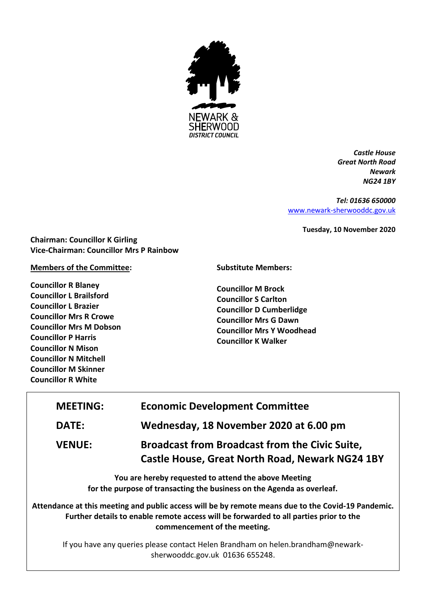

*Castle House Great North Road Newark NG24 1BY*

*Tel: 01636 650000* [www.newark-sherwooddc.gov.uk](http://www.newark-sherwooddc.gov.uk/)

**Tuesday, 10 November 2020**

**Chairman: Councillor K Girling Vice-Chairman: Councillor Mrs P Rainbow**

#### **Members of the Committee:**

**Councillor R Blaney Councillor L Brailsford Councillor L Brazier Councillor Mrs R Crowe Councillor Mrs M Dobson Councillor P Harris Councillor N Mison Councillor N Mitchell Councillor M Skinner Councillor R White**

**Substitute Members:**

**Councillor M Brock Councillor S Carlton Councillor D Cumberlidge Councillor Mrs G Dawn Councillor Mrs Y Woodhead Councillor K Walker**

| <b>MEETING:</b>                                                                                                                                                                                                             | <b>Economic Development Committee</b>                                                                           |  |
|-----------------------------------------------------------------------------------------------------------------------------------------------------------------------------------------------------------------------------|-----------------------------------------------------------------------------------------------------------------|--|
| <b>DATE:</b>                                                                                                                                                                                                                | Wednesday, 18 November 2020 at 6.00 pm                                                                          |  |
| <b>VENUE:</b>                                                                                                                                                                                                               | <b>Broadcast from Broadcast from the Civic Suite,</b><br><b>Castle House, Great North Road, Newark NG24 1BY</b> |  |
| You are hereby requested to attend the above Meeting<br>for the purpose of transacting the business on the Agenda as overleaf.                                                                                              |                                                                                                                 |  |
| Attendance at this meeting and public access will be by remote means due to the Covid-19 Pandemic.<br>Further details to enable remote access will be forwarded to all parties prior to the<br>commencement of the meeting. |                                                                                                                 |  |
| If you have any queries please contact Helen Brandham on helen.brandham@newark-<br>sherwooddc.gov.uk 01636 655248.                                                                                                          |                                                                                                                 |  |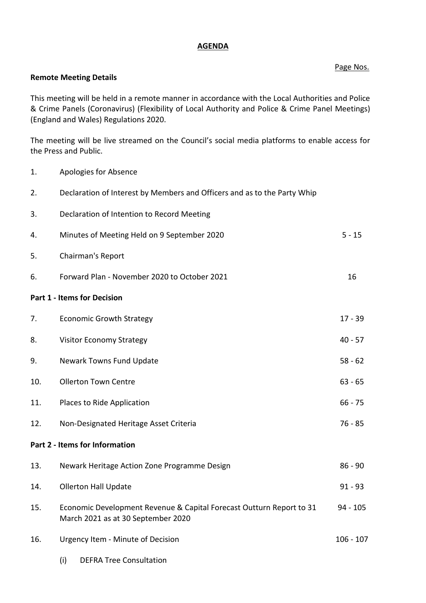# **AGENDA**

## Page Nos.

## **Remote Meeting Details**

This meeting will be held in a remote manner in accordance with the Local Authorities and Police & Crime Panels (Coronavirus) (Flexibility of Local Authority and Police & Crime Panel Meetings) (England and Wales) Regulations 2020.

The meeting will be live streamed on the Council's social media platforms to enable access for the Press and Public.

1. Apologies for Absence 2. Declaration of Interest by Members and Officers and as to the Party Whip 3. Declaration of Intention to Record Meeting 4. Minutes of Meeting Held on 9 September 2020 5 - 15 5. Chairman's Report 6. Forward Plan - November 2020 to October 2021 16 **Part 1 - Items for Decision** 7. Economic Growth Strategy **17 - 39** 8. Visitor Economy Strategy **1988** and the strategy **40** - 57 9. Newark Towns Fund Update 62 10. Ollerton Town Centre 63 - 65 11. Places to Ride Application 66 - 75 12. Non-Designated Heritage Asset Criteria 12. Non-Designated Heritage Asset Criteria **Part 2 - Items for Information** 13. Newark Heritage Action Zone Programme Design 86 - 86 - 90 14. Ollerton Hall Update 91 - 93 15. Economic Development Revenue & Capital Forecast Outturn Report to 31 March 2021 as at 30 September 2020 94 - 105 16. Urgency Item - Minute of Decision 106 - 107 (i) DEFRA Tree Consultation